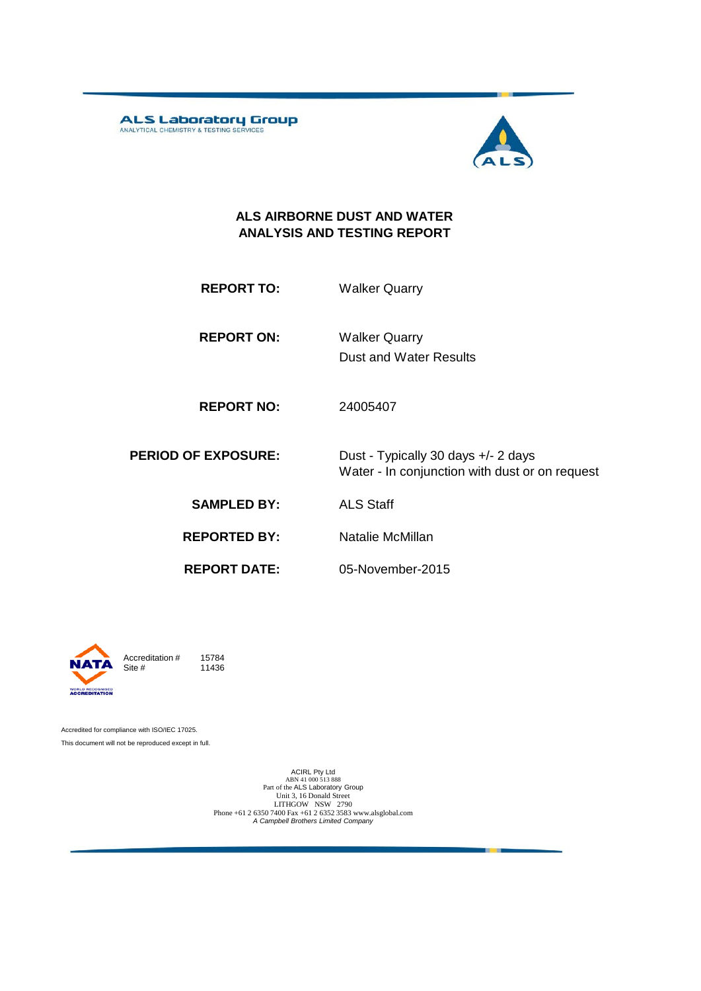ALS Laboratory Group



#### **ALS AIRBORNE DUST AND WATER ANALYSIS AND TESTING REPORT**

**REPORT TO:** Walker Quarry

**REPORT ON:** Dust and Water Results Walker Quarry

**REPORT NO:** 24005407

**PERIOD OF EXPOSURE:** Dust - Typically 30 days +/- 2 days Water - In conjunction with dust or on request

**SAMPLED BY:** ALS Staff

**REPORTED BY:** Natalie McMillan

**REPORT DATE:**

05-November-2015



Accreditation  $\#$  15784<br>Site  $\#$  11436 11436

Accredited for compliance with ISO/IEC 17025. This document will not be reproduced except in full.

> ACIRL Pty Ltd<br>ABN 41 000 513 888<br>Part of the ALS Laboratory Group Unit 3, 16 Donald Street LITHGOW NSW 2790 Phone +61 2 6350 7400 Fax +61 2 6352 3583 www.alsglobal.com *A Campbell Brothers Limited Company*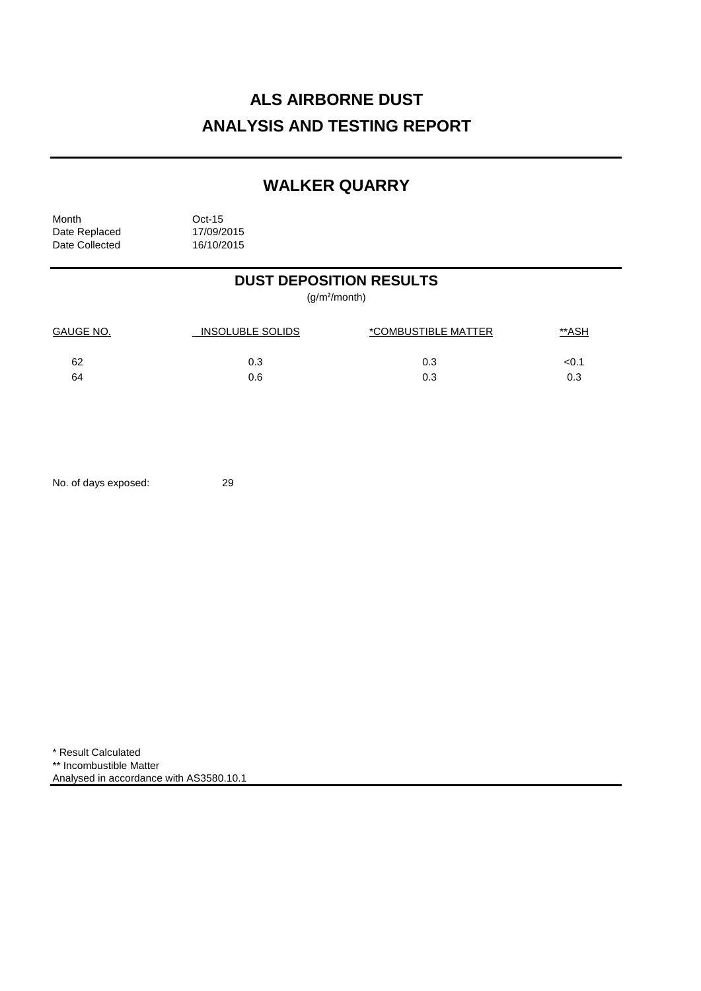# **ALS AIRBORNE DUST ANALYSIS AND TESTING REPORT**

## **WALKER QUARRY**

Month Oct-15<br>Date Replaced 17/09/2015 Date Replaced 17/09/2015<br>Date Collected 16/10/2015 Date Collected

## **DUST DEPOSITION RESULTS**

(g/m²/month)

| <b>GAUGE NO.</b> | <b>INSOLUBLE SOLIDS</b> | *COMBUSTIBLE MATTER | <u>**ASH</u> |
|------------------|-------------------------|---------------------|--------------|
| 62               | 0.3                     | 0.3                 | <0.1         |
| 64               | 0.6                     | 0.3                 |              |

No. of days exposed: 29

\* Result Calculated \*\* Incombustible Matter Analysed in accordance with AS3580.10.1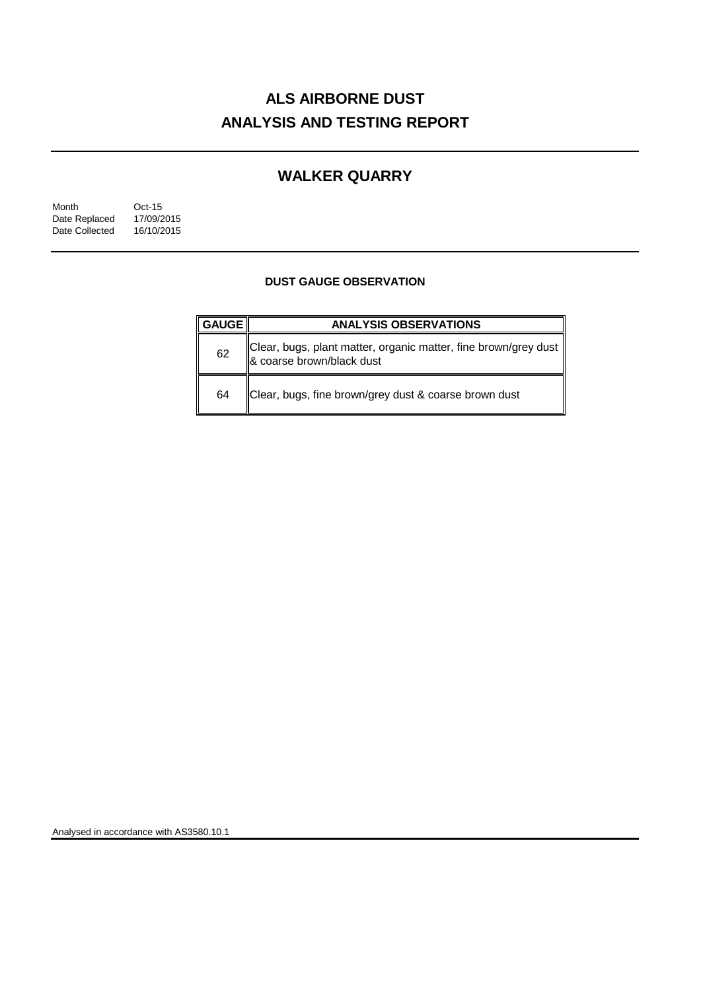# **ALS AIRBORNE DUST ANALYSIS AND TESTING REPORT**

## **WALKER QUARRY**

| Month          | $Oct-15$   |
|----------------|------------|
| Date Replaced  | 17/09/2015 |
| Date Collected | 16/10/2015 |

### **DUST GAUGE OBSERVATION**

| <b>GAUGE</b> | <b>ANALYSIS OBSERVATIONS</b>                                                                 |  |  |
|--------------|----------------------------------------------------------------------------------------------|--|--|
| 62           | Clear, bugs, plant matter, organic matter, fine brown/grey dust<br>& coarse brown/black dust |  |  |
| 64           | Clear, bugs, fine brown/grey dust & coarse brown dust                                        |  |  |

Analysed in accordance with AS3580.10.1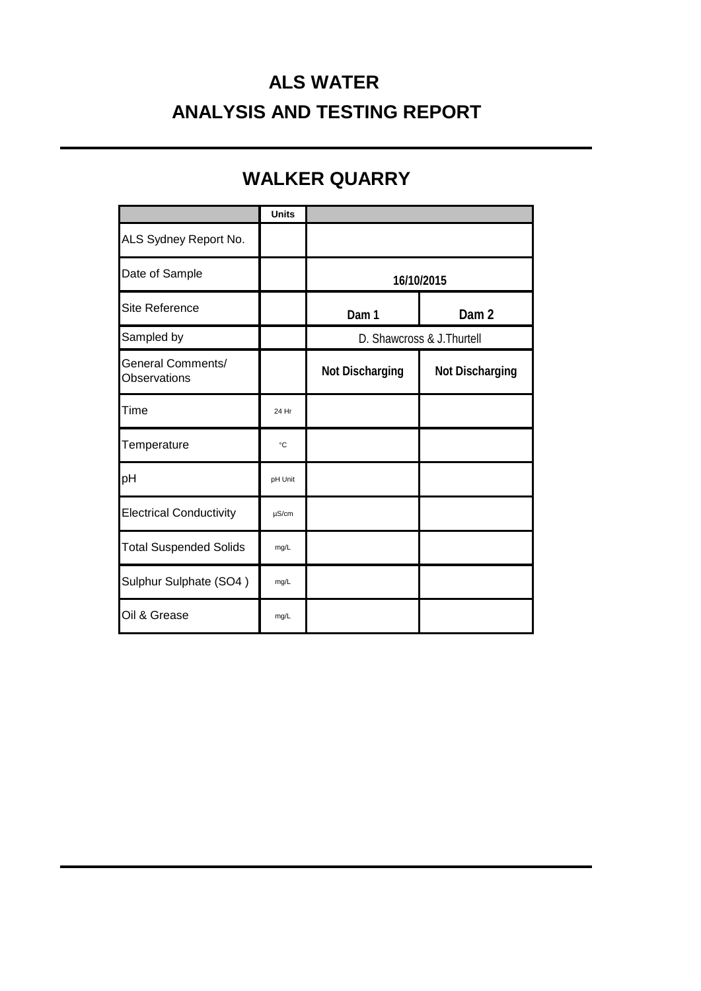# **ALS WATER ANALYSIS AND TESTING REPORT**

## **WALKER QUARRY**

|                                   | <b>Units</b> |                            |                        |
|-----------------------------------|--------------|----------------------------|------------------------|
| ALS Sydney Report No.             |              |                            |                        |
| Date of Sample                    |              | 16/10/2015                 |                        |
| Site Reference                    |              | Dam 1                      | Dam <sub>2</sub>       |
| Sampled by                        |              | D. Shawcross & J. Thurtell |                        |
| General Comments/<br>Observations |              | <b>Not Discharging</b>     | <b>Not Discharging</b> |
| Time                              | 24 Hr        |                            |                        |
| Temperature                       | $^{\circ}C$  |                            |                        |
| pH                                | pH Unit      |                            |                        |
| <b>Electrical Conductivity</b>    | $\mu$ S/cm   |                            |                        |
| <b>Total Suspended Solids</b>     | mg/L         |                            |                        |
| Sulphur Sulphate (SO4)            | mg/L         |                            |                        |
| Oil & Grease                      | mg/L         |                            |                        |